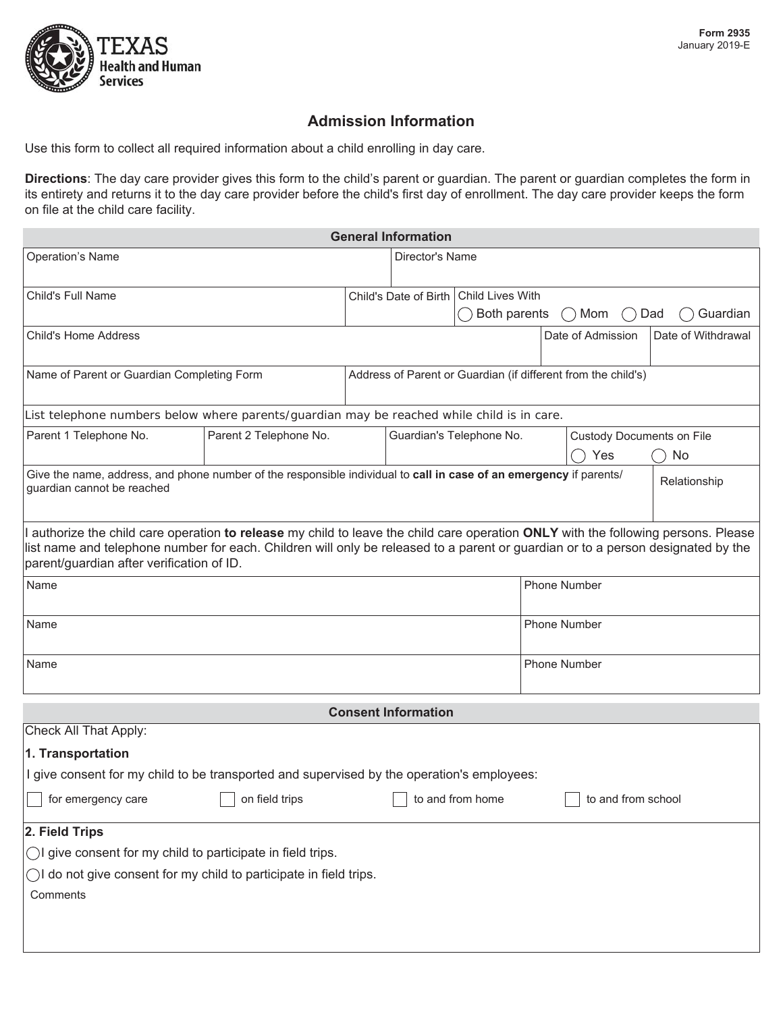

# **Admission Information**

Use this form to collect all required information about a child enrolling in day care.

**Directions**: The day care provider gives this form to the child's parent or guardian. The parent or guardian completes the form in its entirety and returns it to the day care provider before the child's first day of enrollment. The day care provider keeps the form on file at the child care facility.

| <b>General Information</b>                                                                                                                                                                                                                                                                                          |                        |                                                               |                                          |                     |                     |                                  |                    |  |
|---------------------------------------------------------------------------------------------------------------------------------------------------------------------------------------------------------------------------------------------------------------------------------------------------------------------|------------------------|---------------------------------------------------------------|------------------------------------------|---------------------|---------------------|----------------------------------|--------------------|--|
| <b>Operation's Name</b>                                                                                                                                                                                                                                                                                             |                        |                                                               | Director's Name                          |                     |                     |                                  |                    |  |
| <b>Child's Full Name</b>                                                                                                                                                                                                                                                                                            |                        |                                                               | Child's Date of Birth   Child Lives With |                     |                     |                                  |                    |  |
|                                                                                                                                                                                                                                                                                                                     |                        |                                                               |                                          | Both parents        |                     | Mom<br>$($ )<br>$(\quad)$        | Dad<br>Guardian    |  |
| <b>Child's Home Address</b>                                                                                                                                                                                                                                                                                         |                        |                                                               |                                          |                     |                     | Date of Admission                | Date of Withdrawal |  |
| Name of Parent or Guardian Completing Form                                                                                                                                                                                                                                                                          |                        | Address of Parent or Guardian (if different from the child's) |                                          |                     |                     |                                  |                    |  |
| List telephone numbers below where parents/guardian may be reached while child is in care.                                                                                                                                                                                                                          |                        |                                                               |                                          |                     |                     |                                  |                    |  |
| Parent 1 Telephone No.                                                                                                                                                                                                                                                                                              | Parent 2 Telephone No. |                                                               | Guardian's Telephone No.                 |                     |                     | <b>Custody Documents on File</b> |                    |  |
|                                                                                                                                                                                                                                                                                                                     |                        |                                                               |                                          |                     |                     | Yes                              | No                 |  |
| Give the name, address, and phone number of the responsible individual to call in case of an emergency if parents/<br>Relationship<br>guardian cannot be reached                                                                                                                                                    |                        |                                                               |                                          |                     |                     |                                  |                    |  |
| I authorize the child care operation to release my child to leave the child care operation ONLY with the following persons. Please<br>list name and telephone number for each. Children will only be released to a parent or guardian or to a person designated by the<br>parent/guardian after verification of ID. |                        |                                                               |                                          |                     |                     |                                  |                    |  |
| Name                                                                                                                                                                                                                                                                                                                |                        |                                                               |                                          |                     | <b>Phone Number</b> |                                  |                    |  |
| Name                                                                                                                                                                                                                                                                                                                |                        |                                                               |                                          | <b>Phone Number</b> |                     |                                  |                    |  |
| Name                                                                                                                                                                                                                                                                                                                |                        |                                                               |                                          |                     | <b>Phone Number</b> |                                  |                    |  |
| <b>Consent Information</b>                                                                                                                                                                                                                                                                                          |                        |                                                               |                                          |                     |                     |                                  |                    |  |
| Check All That Apply:                                                                                                                                                                                                                                                                                               |                        |                                                               |                                          |                     |                     |                                  |                    |  |
| 1. Transportation                                                                                                                                                                                                                                                                                                   |                        |                                                               |                                          |                     |                     |                                  |                    |  |
| I give consent for my child to be transported and supervised by the operation's employees:                                                                                                                                                                                                                          |                        |                                                               |                                          |                     |                     |                                  |                    |  |
| for emergency care                                                                                                                                                                                                                                                                                                  | on field trips         |                                                               |                                          | to and from home    |                     | to and from school               |                    |  |
| 2. Field Trips                                                                                                                                                                                                                                                                                                      |                        |                                                               |                                          |                     |                     |                                  |                    |  |
| OI give consent for my child to participate in field trips.                                                                                                                                                                                                                                                         |                        |                                                               |                                          |                     |                     |                                  |                    |  |
| OI do not give consent for my child to participate in field trips.<br>Comments                                                                                                                                                                                                                                      |                        |                                                               |                                          |                     |                     |                                  |                    |  |
|                                                                                                                                                                                                                                                                                                                     |                        |                                                               |                                          |                     |                     |                                  |                    |  |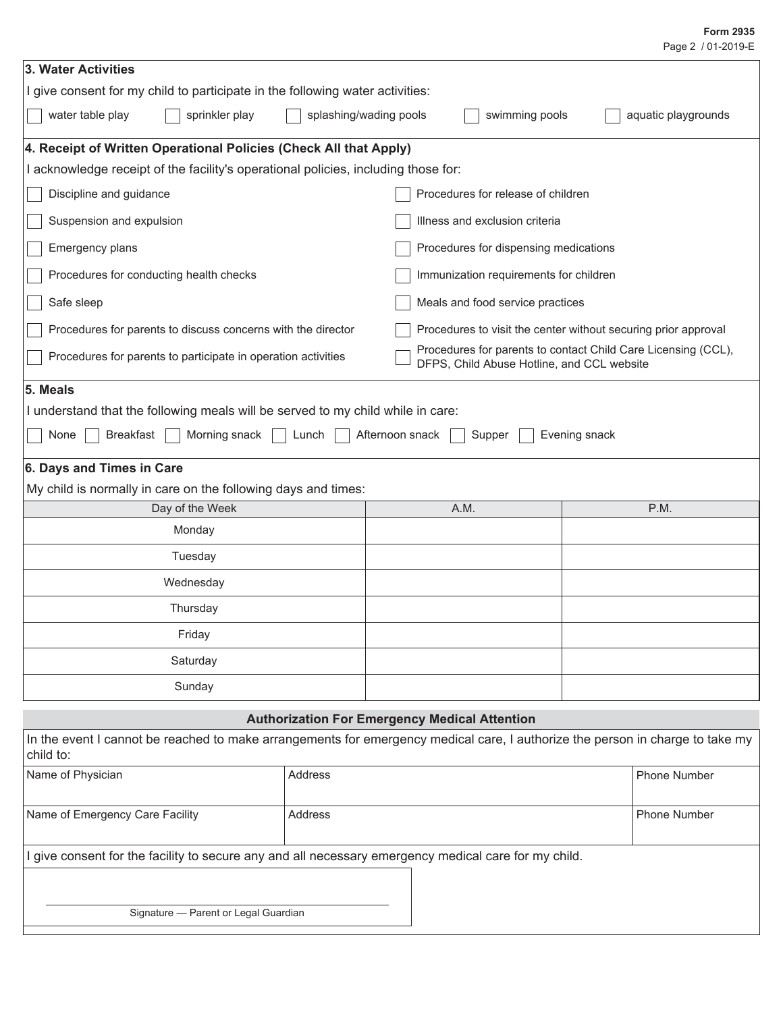### Page 2 / 01-2019-E **Form 2935**

| 3. Water Activities                                                                                                                        |                                    |                                            |                                                                |  |  |
|--------------------------------------------------------------------------------------------------------------------------------------------|------------------------------------|--------------------------------------------|----------------------------------------------------------------|--|--|
| I give consent for my child to participate in the following water activities:                                                              |                                    |                                            |                                                                |  |  |
| water table play<br>sprinkler play<br>splashing/wading pools<br>swimming pools<br>aquatic playgrounds                                      |                                    |                                            |                                                                |  |  |
| 4. Receipt of Written Operational Policies (Check All that Apply)                                                                          |                                    |                                            |                                                                |  |  |
| I acknowledge receipt of the facility's operational policies, including those for:                                                         |                                    |                                            |                                                                |  |  |
| Discipline and guidance                                                                                                                    | Procedures for release of children |                                            |                                                                |  |  |
| Suspension and expulsion<br>Illness and exclusion criteria                                                                                 |                                    |                                            |                                                                |  |  |
| Emergency plans                                                                                                                            |                                    | Procedures for dispensing medications      |                                                                |  |  |
| Procedures for conducting health checks                                                                                                    |                                    | Immunization requirements for children     |                                                                |  |  |
| Safe sleep                                                                                                                                 |                                    | Meals and food service practices           |                                                                |  |  |
| Procedures for parents to discuss concerns with the director                                                                               |                                    |                                            | Procedures to visit the center without securing prior approval |  |  |
| Procedures for parents to participate in operation activities                                                                              |                                    | DFPS, Child Abuse Hotline, and CCL website | Procedures for parents to contact Child Care Licensing (CCL),  |  |  |
| 5. Meals                                                                                                                                   |                                    |                                            |                                                                |  |  |
| I understand that the following meals will be served to my child while in care:                                                            |                                    |                                            |                                                                |  |  |
| <b>Breakfast</b><br>Morning snack<br>None                                                                                                  | Lunch                              | Afternoon snack<br>Supper                  | Evening snack                                                  |  |  |
| 6. Days and Times in Care                                                                                                                  |                                    |                                            |                                                                |  |  |
| My child is normally in care on the following days and times:                                                                              |                                    |                                            |                                                                |  |  |
| Day of the Week                                                                                                                            |                                    | A.M.                                       | P.M.                                                           |  |  |
| Monday                                                                                                                                     |                                    |                                            |                                                                |  |  |
| Tuesday                                                                                                                                    |                                    |                                            |                                                                |  |  |
| Wednesday                                                                                                                                  |                                    |                                            |                                                                |  |  |
| Thursday                                                                                                                                   |                                    |                                            |                                                                |  |  |
| Friday                                                                                                                                     |                                    |                                            |                                                                |  |  |
| Saturday                                                                                                                                   |                                    |                                            |                                                                |  |  |
| Sunday                                                                                                                                     |                                    |                                            |                                                                |  |  |
| <b>Authorization For Emergency Medical Attention</b>                                                                                       |                                    |                                            |                                                                |  |  |
| In the event I cannot be reached to make arrangements for emergency medical care, I authorize the person in charge to take my<br>child to: |                                    |                                            |                                                                |  |  |
| Name of Physician                                                                                                                          | Address                            |                                            | Phone Number                                                   |  |  |
| Name of Emergency Care Facility                                                                                                            | Address                            |                                            | Phone Number                                                   |  |  |
| I give consent for the facility to secure any and all necessary emergency medical care for my child.                                       |                                    |                                            |                                                                |  |  |
|                                                                                                                                            |                                    |                                            |                                                                |  |  |
| Signature - Parent or Legal Guardian                                                                                                       |                                    |                                            |                                                                |  |  |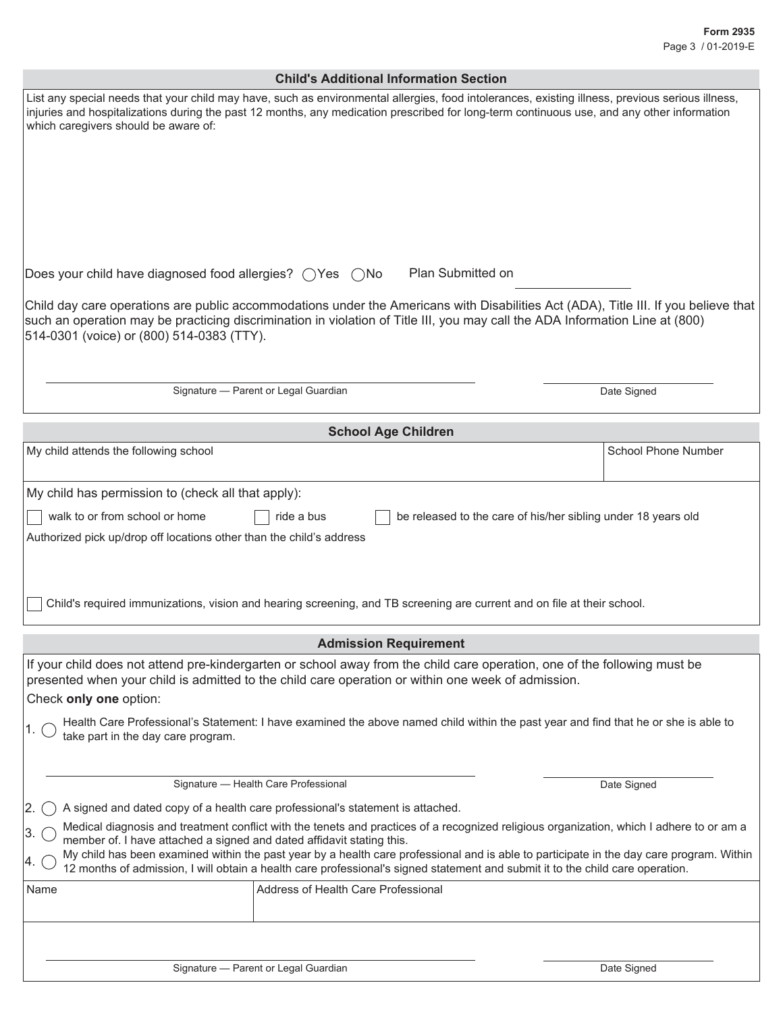| <b>Child's Additional Information Section</b>                                                                                                                                                                                                                                                                                          |                                                                                                                                                                                                                                                                                                                                                                                                                        |                                                               |                     |  |  |
|----------------------------------------------------------------------------------------------------------------------------------------------------------------------------------------------------------------------------------------------------------------------------------------------------------------------------------------|------------------------------------------------------------------------------------------------------------------------------------------------------------------------------------------------------------------------------------------------------------------------------------------------------------------------------------------------------------------------------------------------------------------------|---------------------------------------------------------------|---------------------|--|--|
| List any special needs that your child may have, such as environmental allergies, food intolerances, existing illness, previous serious illness,<br>injuries and hospitalizations during the past 12 months, any medication prescribed for long-term continuous use, and any other information<br>which caregivers should be aware of: |                                                                                                                                                                                                                                                                                                                                                                                                                        |                                                               |                     |  |  |
| Does your child have diagnosed food allergies? $\bigcirc$ Yes $\bigcirc$ No                                                                                                                                                                                                                                                            | Plan Submitted on                                                                                                                                                                                                                                                                                                                                                                                                      |                                                               |                     |  |  |
| Child day care operations are public accommodations under the Americans with Disabilities Act (ADA), Title III. If you believe that<br>such an operation may be practicing discrimination in violation of Title III, you may call the ADA Information Line at (800)<br>514-0301 (voice) or (800) 514-0383 (TTY).                       |                                                                                                                                                                                                                                                                                                                                                                                                                        |                                                               |                     |  |  |
|                                                                                                                                                                                                                                                                                                                                        | Signature - Parent or Legal Guardian                                                                                                                                                                                                                                                                                                                                                                                   |                                                               | Date Signed         |  |  |
|                                                                                                                                                                                                                                                                                                                                        |                                                                                                                                                                                                                                                                                                                                                                                                                        |                                                               |                     |  |  |
|                                                                                                                                                                                                                                                                                                                                        | <b>School Age Children</b>                                                                                                                                                                                                                                                                                                                                                                                             |                                                               |                     |  |  |
| My child attends the following school                                                                                                                                                                                                                                                                                                  |                                                                                                                                                                                                                                                                                                                                                                                                                        |                                                               | School Phone Number |  |  |
| My child has permission to (check all that apply):                                                                                                                                                                                                                                                                                     |                                                                                                                                                                                                                                                                                                                                                                                                                        |                                                               |                     |  |  |
| walk to or from school or home                                                                                                                                                                                                                                                                                                         | ride a bus                                                                                                                                                                                                                                                                                                                                                                                                             | be released to the care of his/her sibling under 18 years old |                     |  |  |
| Authorized pick up/drop off locations other than the child's address                                                                                                                                                                                                                                                                   | Child's required immunizations, vision and hearing screening, and TB screening are current and on file at their school.                                                                                                                                                                                                                                                                                                |                                                               |                     |  |  |
| <b>Admission Requirement</b>                                                                                                                                                                                                                                                                                                           |                                                                                                                                                                                                                                                                                                                                                                                                                        |                                                               |                     |  |  |
| If your child does not attend pre-kindergarten or school away from the child care operation, one of the following must be<br>presented when your child is admitted to the child care operation or within one week of admission.<br>Check only one option:<br>take part in the day care program.                                        | Health Care Professional's Statement: I have examined the above named child within the past year and find that he or she is able to                                                                                                                                                                                                                                                                                    |                                                               |                     |  |  |
|                                                                                                                                                                                                                                                                                                                                        |                                                                                                                                                                                                                                                                                                                                                                                                                        |                                                               |                     |  |  |
| Signature - Health Care Professional<br>Date Signed                                                                                                                                                                                                                                                                                    |                                                                                                                                                                                                                                                                                                                                                                                                                        |                                                               |                     |  |  |
| 2.<br>A signed and dated copy of a health care professional's statement is attached.                                                                                                                                                                                                                                                   |                                                                                                                                                                                                                                                                                                                                                                                                                        |                                                               |                     |  |  |
| member of. I have attached a signed and dated affidavit stating this.                                                                                                                                                                                                                                                                  | Medical diagnosis and treatment conflict with the tenets and practices of a recognized religious organization, which I adhere to or am a<br>My child has been examined within the past year by a health care professional and is able to participate in the day care program. Within<br>12 months of admission, I will obtain a health care professional's signed statement and submit it to the child care operation. |                                                               |                     |  |  |
| Name                                                                                                                                                                                                                                                                                                                                   | Address of Health Care Professional                                                                                                                                                                                                                                                                                                                                                                                    |                                                               |                     |  |  |
|                                                                                                                                                                                                                                                                                                                                        |                                                                                                                                                                                                                                                                                                                                                                                                                        |                                                               |                     |  |  |
|                                                                                                                                                                                                                                                                                                                                        | Signature - Parent or Legal Guardian                                                                                                                                                                                                                                                                                                                                                                                   |                                                               | Date Signed         |  |  |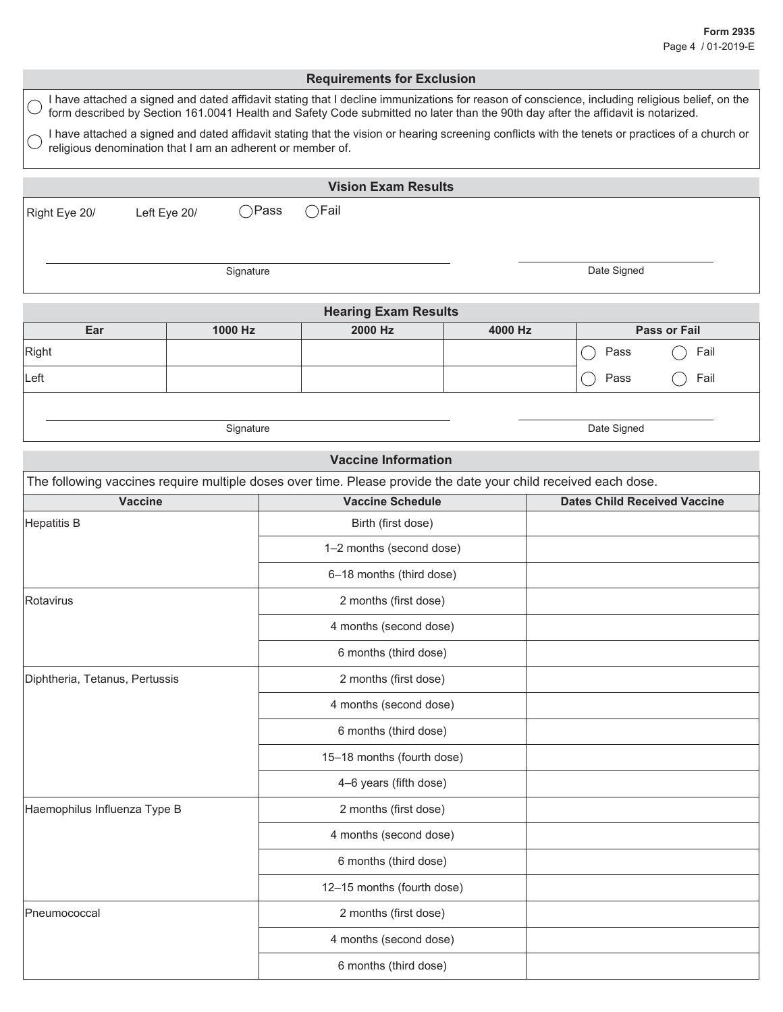|                                                            |              |                | <b>Requirements for Exclusion</b>                                                                                                                                                                                                                                                  |         |             |                                     |
|------------------------------------------------------------|--------------|----------------|------------------------------------------------------------------------------------------------------------------------------------------------------------------------------------------------------------------------------------------------------------------------------------|---------|-------------|-------------------------------------|
|                                                            |              |                | I have attached a signed and dated affidavit stating that I decline immunizations for reason of conscience, including religious belief, on the<br>form described by Section 161.0041 Health and Safety Code submitted no later than the 90th day after the affidavit is notarized. |         |             |                                     |
| religious denomination that I am an adherent or member of. |              |                | I have attached a signed and dated affidavit stating that the vision or hearing screening conflicts with the tenets or practices of a church or                                                                                                                                    |         |             |                                     |
|                                                            |              |                | <b>Vision Exam Results</b>                                                                                                                                                                                                                                                         |         |             |                                     |
| Right Eye 20/                                              | Left Eye 20/ | $\bigcap$ Pass | $\bigcirc$ Fail                                                                                                                                                                                                                                                                    |         |             |                                     |
|                                                            |              |                |                                                                                                                                                                                                                                                                                    |         |             |                                     |
|                                                            |              | Signature      |                                                                                                                                                                                                                                                                                    |         | Date Signed |                                     |
|                                                            |              |                | <b>Hearing Exam Results</b>                                                                                                                                                                                                                                                        |         |             |                                     |
| Ear                                                        | 1000 Hz      |                | 2000 Hz                                                                                                                                                                                                                                                                            | 4000 Hz |             | <b>Pass or Fail</b>                 |
| Right                                                      |              |                |                                                                                                                                                                                                                                                                                    |         | Pass        | Fail                                |
| Left                                                       |              |                |                                                                                                                                                                                                                                                                                    |         | Pass        | Fail                                |
|                                                            |              |                |                                                                                                                                                                                                                                                                                    |         |             |                                     |
|                                                            |              | Signature      |                                                                                                                                                                                                                                                                                    |         | Date Signed |                                     |
|                                                            |              |                | <b>Vaccine Information</b>                                                                                                                                                                                                                                                         |         |             |                                     |
|                                                            |              |                | The following vaccines require multiple doses over time. Please provide the date your child received each dose.                                                                                                                                                                    |         |             |                                     |
| <b>Vaccine</b>                                             |              |                | <b>Vaccine Schedule</b>                                                                                                                                                                                                                                                            |         |             | <b>Dates Child Received Vaccine</b> |
| <b>Hepatitis B</b>                                         |              |                | Birth (first dose)                                                                                                                                                                                                                                                                 |         |             |                                     |
|                                                            |              |                | 1-2 months (second dose)                                                                                                                                                                                                                                                           |         |             |                                     |
|                                                            |              |                | 6-18 months (third dose)                                                                                                                                                                                                                                                           |         |             |                                     |
| Rotavirus                                                  |              |                | 2 months (first dose)                                                                                                                                                                                                                                                              |         |             |                                     |
|                                                            |              |                | 4 months (second dose)                                                                                                                                                                                                                                                             |         |             |                                     |
|                                                            |              |                | 6 months (third dose)                                                                                                                                                                                                                                                              |         |             |                                     |
| Diphtheria, Tetanus, Pertussis                             |              |                | 2 months (first dose)                                                                                                                                                                                                                                                              |         |             |                                     |
|                                                            |              |                | 4 months (second dose)                                                                                                                                                                                                                                                             |         |             |                                     |
|                                                            |              |                | 6 months (third dose)                                                                                                                                                                                                                                                              |         |             |                                     |
|                                                            |              |                | 15-18 months (fourth dose)                                                                                                                                                                                                                                                         |         |             |                                     |
|                                                            |              |                | 4-6 years (fifth dose)                                                                                                                                                                                                                                                             |         |             |                                     |
| Haemophilus Influenza Type B                               |              |                | 2 months (first dose)                                                                                                                                                                                                                                                              |         |             |                                     |
|                                                            |              |                | 4 months (second dose)                                                                                                                                                                                                                                                             |         |             |                                     |
|                                                            |              |                | 6 months (third dose)                                                                                                                                                                                                                                                              |         |             |                                     |
|                                                            |              |                | 12-15 months (fourth dose)                                                                                                                                                                                                                                                         |         |             |                                     |
| Pneumococcal                                               |              |                | 2 months (first dose)                                                                                                                                                                                                                                                              |         |             |                                     |
|                                                            |              |                | 4 months (second dose)                                                                                                                                                                                                                                                             |         |             |                                     |
|                                                            |              |                | 6 months (third dose)                                                                                                                                                                                                                                                              |         |             |                                     |
|                                                            |              |                |                                                                                                                                                                                                                                                                                    |         |             |                                     |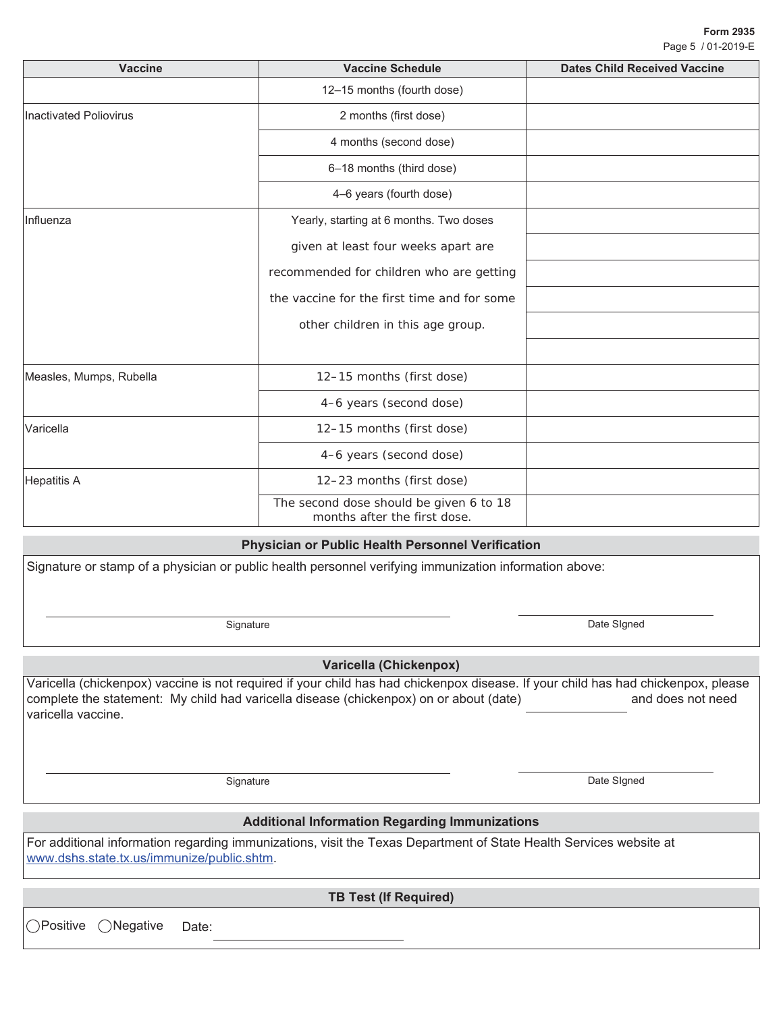| <b>Vaccine</b>          | <b>Vaccine Schedule</b>                                                 | <b>Dates Child Received Vaccine</b> |  |  |
|-------------------------|-------------------------------------------------------------------------|-------------------------------------|--|--|
|                         | 12-15 months (fourth dose)                                              |                                     |  |  |
| Inactivated Poliovirus  | 2 months (first dose)                                                   |                                     |  |  |
|                         | 4 months (second dose)                                                  |                                     |  |  |
|                         | 6-18 months (third dose)                                                |                                     |  |  |
|                         | 4-6 years (fourth dose)                                                 |                                     |  |  |
| Influenza               | Yearly, starting at 6 months. Two doses                                 |                                     |  |  |
|                         | given at least four weeks apart are                                     |                                     |  |  |
|                         | recommended for children who are getting                                |                                     |  |  |
|                         | the vaccine for the first time and for some                             |                                     |  |  |
|                         | other children in this age group.                                       |                                     |  |  |
|                         |                                                                         |                                     |  |  |
| Measles, Mumps, Rubella | 12-15 months (first dose)                                               |                                     |  |  |
|                         | 4-6 years (second dose)                                                 |                                     |  |  |
| Varicella               | 12-15 months (first dose)                                               |                                     |  |  |
|                         | 4-6 years (second dose)                                                 |                                     |  |  |
| Hepatitis A             | 12-23 months (first dose)                                               |                                     |  |  |
|                         | The second dose should be given 6 to 18<br>months after the first dose. |                                     |  |  |

### **Physician or Public Health Personnel Verification**

Signature or stamp of a physician or public health personnel verifying immunization information above:

Signature Date SIgned

## **Varicella (Chickenpox)**

Varicella (chickenpox) vaccine is not required if your child has had chickenpox disease. If your child has had chickenpox, please complete the statement: My child had varicella disease (chickenpox) on or about (date) and does not need varicella vaccine.

## **Additional Information Regarding Immunizations**

For additional information regarding immunizations, visit the Texas Department of State Health Services website at www.dshs.state.tx.us/immunize/public.shtm.

**TB Test (If Required)**

○Positive ○Negative Date:

Signature Date Slgned